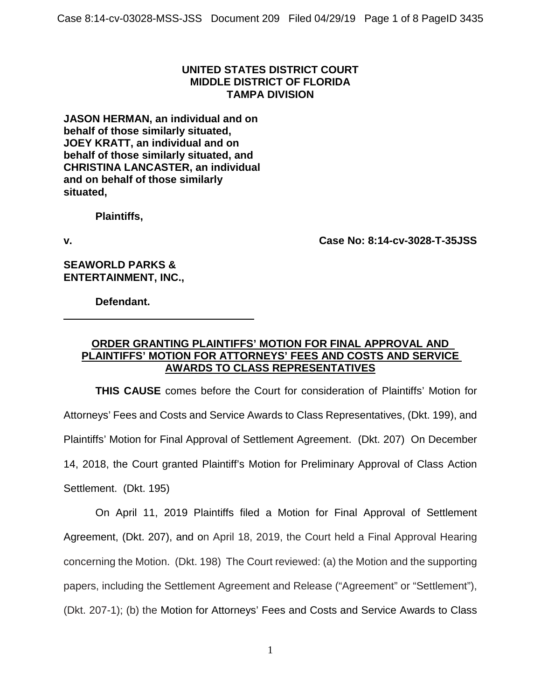## **UNITED STATES DISTRICT COURT MIDDLE DISTRICT OF FLORIDA TAMPA DIVISION**

**JASON HERMAN, an individual and on behalf of those similarly situated, JOEY KRATT, an individual and on behalf of those similarly situated, and CHRISTINA LANCASTER, an individual and on behalf of those similarly situated,**

**Plaintiffs,**

**v. Case No: 8:14-cv-3028-T-35JSS**

**SEAWORLD PARKS & ENTERTAINMENT, INC.,**

**Defendant.**

## **ORDER GRANTING PLAINTIFFS' MOTION FOR FINAL APPROVAL AND PLAINTIFFS' MOTION FOR ATTORNEYS' FEES AND COSTS AND SERVICE AWARDS TO CLASS REPRESENTATIVES**

**THIS CAUSE** comes before the Court for consideration of Plaintiffs' Motion for Attorneys' Fees and Costs and Service Awards to Class Representatives, (Dkt. 199), and Plaintiffs' Motion for Final Approval of Settlement Agreement. (Dkt. 207) On December 14, 2018, the Court granted Plaintiff's Motion for Preliminary Approval of Class Action Settlement. (Dkt. 195)

On April 11, 2019 Plaintiffs filed a Motion for Final Approval of Settlement Agreement, (Dkt. 207), and on April 18, 2019, the Court held a Final Approval Hearing concerning the Motion. (Dkt. 198) The Court reviewed: (a) the Motion and the supporting papers, including the Settlement Agreement and Release ("Agreement" or "Settlement"), (Dkt. 207-1); (b) the Motion for Attorneys' Fees and Costs and Service Awards to Class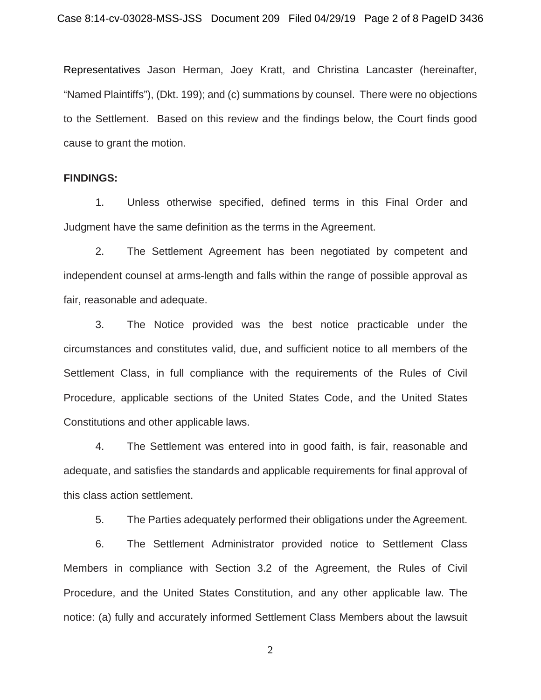Representatives Jason Herman, Joey Kratt, and Christina Lancaster (hereinafter, "Named Plaintiffs"), (Dkt. 199); and (c) summations by counsel. There were no objections to the Settlement. Based on this review and the findings below, the Court finds good cause to grant the motion.

#### **FINDINGS:**

1. Unless otherwise specified, defined terms in this Final Order and Judgment have the same definition as the terms in the Agreement.

2. The Settlement Agreement has been negotiated by competent and independent counsel at arms-length and falls within the range of possible approval as fair, reasonable and adequate.

3. The Notice provided was the best notice practicable under the circumstances and constitutes valid, due, and sufficient notice to all members of the Settlement Class, in full compliance with the requirements of the Rules of Civil Procedure, applicable sections of the United States Code, and the United States Constitutions and other applicable laws.

4. The Settlement was entered into in good faith, is fair, reasonable and adequate, and satisfies the standards and applicable requirements for final approval of this class action settlement.

5. The Parties adequately performed their obligations under the Agreement.

6. The Settlement Administrator provided notice to Settlement Class Members in compliance with Section 3.2 of the Agreement, the Rules of Civil Procedure, and the United States Constitution, and any other applicable law. The notice: (a) fully and accurately informed Settlement Class Members about the lawsuit

2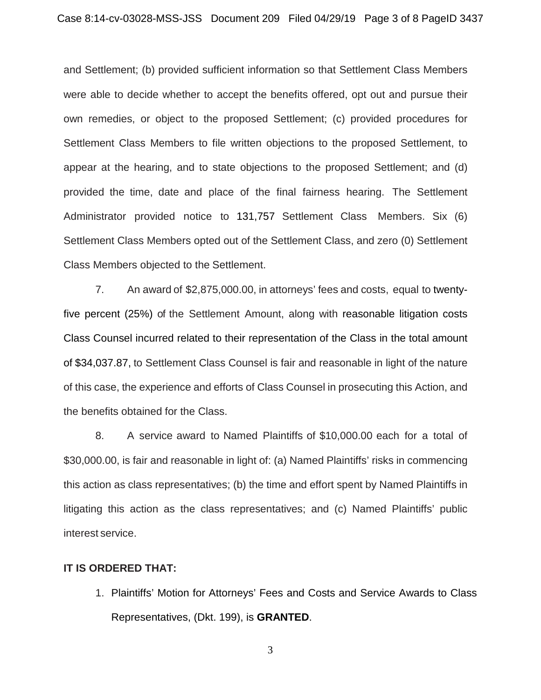and Settlement; (b) provided sufficient information so that Settlement Class Members were able to decide whether to accept the benefits offered, opt out and pursue their own remedies, or object to the proposed Settlement; (c) provided procedures for Settlement Class Members to file written objections to the proposed Settlement, to appear at the hearing, and to state objections to the proposed Settlement; and (d) provided the time, date and place of the final fairness hearing. The Settlement Administrator provided notice to 131,757 Settlement Class Members. Six (6) Settlement Class Members opted out of the Settlement Class, and zero (0) Settlement Class Members objected to the Settlement.

7. An award of \$2,875,000.00, in attorneys' fees and costs, equal to twentyfive percent (25%) of the Settlement Amount, along with reasonable litigation costs Class Counsel incurred related to their representation of the Class in the total amount of \$34,037.87, to Settlement Class Counsel is fair and reasonable in light of the nature of this case, the experience and efforts of Class Counsel in prosecuting this Action, and the benefits obtained for the Class.

8. A service award to Named Plaintiffs of \$10,000.00 each for a total of \$30,000.00, is fair and reasonable in light of: (a) Named Plaintiffs' risks in commencing this action as class representatives; (b) the time and effort spent by Named Plaintiffs in litigating this action as the class representatives; and (c) Named Plaintiffs' public interest service.

### **IT IS ORDERED THAT:**

1. Plaintiffs' Motion for Attorneys' Fees and Costs and Service Awards to Class Representatives, (Dkt. 199), is **GRANTED**.

3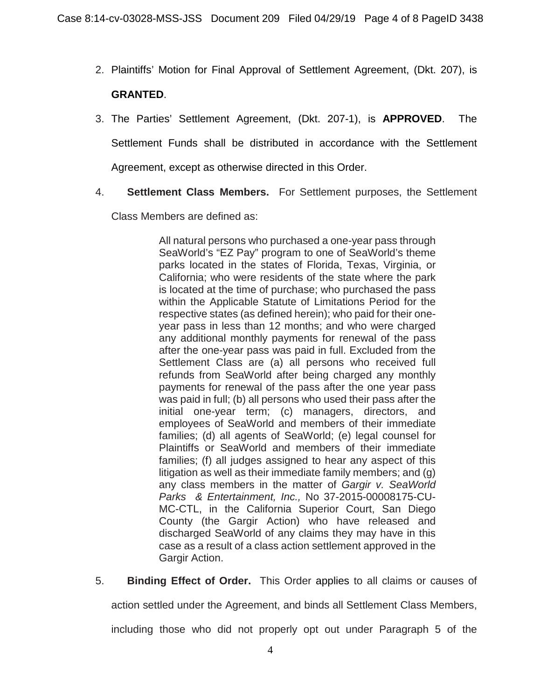- 2. Plaintiffs' Motion for Final Approval of Settlement Agreement, (Dkt. 207), is **GRANTED**.
- 3. The Parties' Settlement Agreement, (Dkt. 207-1), is **APPROVED**. The Settlement Funds shall be distributed in accordance with the Settlement Agreement, except as otherwise directed in this Order.
- 4. **Settlement Class Members.** For Settlement purposes, the Settlement

Class Members are defined as:

All natural persons who purchased a one-year pass through SeaWorld's "EZ Pay" program to one of SeaWorld's theme parks located in the states of Florida, Texas, Virginia, or California; who were residents of the state where the park is located at the time of purchase; who purchased the pass within the Applicable Statute of Limitations Period for the respective states (as defined herein); who paid for their oneyear pass in less than 12 months; and who were charged any additional monthly payments for renewal of the pass after the one-year pass was paid in full. Excluded from the Settlement Class are (a) all persons who received full refunds from SeaWorld after being charged any monthly payments for renewal of the pass after the one year pass was paid in full; (b) all persons who used their pass after the initial one-year term; (c) managers, directors, and employees of SeaWorld and members of their immediate families; (d) all agents of SeaWorld; (e) legal counsel for Plaintiffs or SeaWorld and members of their immediate families; (f) all judges assigned to hear any aspect of this litigation as well as their immediate family members; and (g) any class members in the matter of *Gargir v. SeaWorld Parks & Entertainment, Inc.,* No 37-2015-00008175-CU-MC-CTL, in the California Superior Court, San Diego County (the Gargir Action) who have released and discharged SeaWorld of any claims they may have in this case as a result of a class action settlement approved in the Gargir Action.

5. **Binding Effect of Order.** This Order applies to all claims or causes of

action settled under the Agreement, and binds all Settlement Class Members,

including those who did not properly opt out under Paragraph 5 of the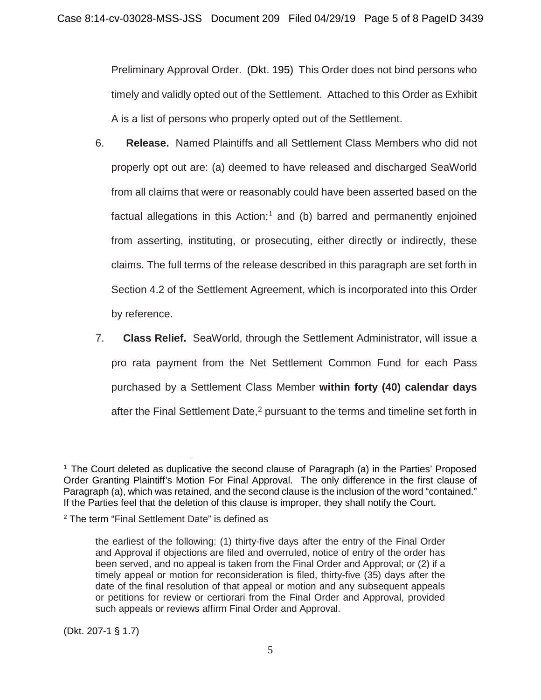Preliminary Approval Order. (Dkt. 195) This Order does not bind persons who timely and validly opted out of the Settlement. Attached to this Order as Exhibit A is a list of persons who properly opted out of the Settlement.

- 6. **Release.** Named Plaintiffs and all Settlement Class Members who did not properly opt out are: (a) deemed to have released and discharged SeaWorld from all claims that were or reasonably could have been asserted based on the factual allegations in this Action;<sup>1</sup> and (b) barred and permanently enjoined from asserting, instituting, or prosecuting, either directly or indirectly, these claims. The full terms of the release described in this paragraph are set forth in Section 4.2 of the Settlement Agreement, which is incorporated into this Order by reference.
- 7. **Class Relief.** SeaWorld, through the Settlement Administrator, will issue a pro rata payment from the Net Settlement Common Fund for each Pass purchased by a Settlement Class Member **within forty (40) calendar days**  after the Final Settlement Date,<sup>2</sup> pursuant to the terms and timeline set forth in

 $\overline{a}$ <sup>1</sup> The Court deleted as duplicative the second clause of Paragraph (a) in the Parties' Proposed Order Granting Plaintiff's Motion For Final Approval. The only difference in the first clause of Paragraph (a), which was retained, and the second clause is the inclusion of the word "contained." If the Parties feel that the deletion of this clause is improper, they shall notify the Court.

<sup>&</sup>lt;sup>2</sup> The term "Final Settlement Date" is defined as

the earliest of the following: (1) thirty-five days after the entry of the Final Order and Approval if objections are filed and overruled, notice of entry of the order has been served, and no appeal is taken from the Final Order and Approval; or (2) if a timely appeal or motion for reconsideration is filed, thirty-five (35) days after the date of the final resolution of that appeal or motion and any subsequent appeals or petitions for review or certiorari from the Final Order and Approval, provided such appeals or reviews affirm Final Order and Approval.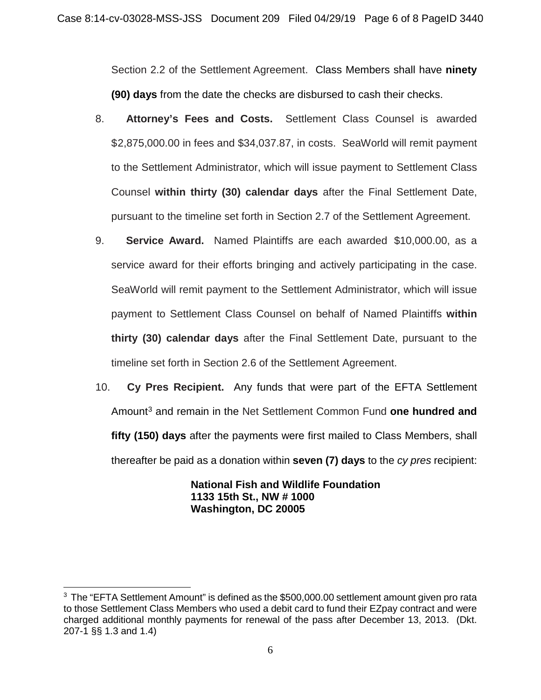Section 2.2 of the Settlement Agreement. Class Members shall have **ninety (90) days** from the date the checks are disbursed to cash their checks.

- 8. **Attorney's Fees and Costs.** Settlement Class Counsel is awarded \$2,875,000.00 in fees and \$34,037.87, in costs. SeaWorld will remit payment to the Settlement Administrator, which will issue payment to Settlement Class Counsel **within thirty (30) calendar days** after the Final Settlement Date, pursuant to the timeline set forth in Section 2.7 of the Settlement Agreement.
- 9. **Service Award.** Named Plaintiffs are each awarded \$10,000.00, as a service award for their efforts bringing and actively participating in the case. SeaWorld will remit payment to the Settlement Administrator, which will issue payment to Settlement Class Counsel on behalf of Named Plaintiffs **within thirty (30) calendar days** after the Final Settlement Date, pursuant to the timeline set forth in Section 2.6 of the Settlement Agreement.
- 10. **Cy Pres Recipient.** Any funds that were part of the EFTA Settlement Amount3 and remain in the Net Settlement Common Fund **one hundred and fifty (150) days** after the payments were first mailed to Class Members, shall thereafter be paid as a donation within **seven (7) days** to the *cy pres* recipient:

**National Fish and Wildlife Foundation 1133 15th St., NW # 1000 Washington, DC 20005**

 $\overline{a}$ <sup>3</sup> The "EFTA Settlement Amount" is defined as the \$500,000.00 settlement amount given pro rata to those Settlement Class Members who used a debit card to fund their EZpay contract and were charged additional monthly payments for renewal of the pass after December 13, 2013. (Dkt. 207-1 §§ 1.3 and 1.4)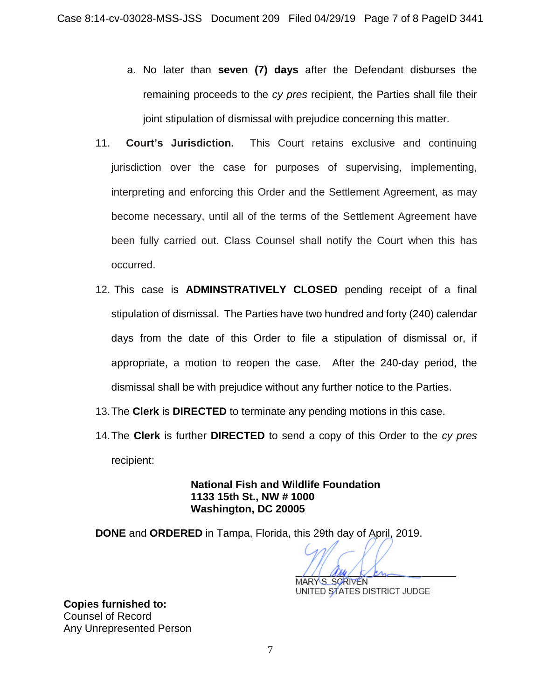- a. No later than **seven (7) days** after the Defendant disburses the remaining proceeds to the *cy pres* recipient, the Parties shall file their joint stipulation of dismissal with prejudice concerning this matter.
- 11. **Court's Jurisdiction.** This Court retains exclusive and continuing jurisdiction over the case for purposes of supervising, implementing, interpreting and enforcing this Order and the Settlement Agreement, as may become necessary, until all of the terms of the Settlement Agreement have been fully carried out. Class Counsel shall notify the Court when this has occurred.
- 12. This case is **ADMINSTRATIVELY CLOSED** pending receipt of a final stipulation of dismissal. The Parties have two hundred and forty (240) calendar days from the date of this Order to file a stipulation of dismissal or, if appropriate, a motion to reopen the case. After the 240-day period, the dismissal shall be with prejudice without any further notice to the Parties.
- 13.The **Clerk** is **DIRECTED** to terminate any pending motions in this case.
- 14.The **Clerk** is further **DIRECTED** to send a copy of this Order to the *cy pres*  recipient:

**National Fish and Wildlife Foundation 1133 15th St., NW # 1000 Washington, DC 20005**

**DONE** and **ORDERED** in Tampa, Florida, this 29th day of April, 2019.

MARY S. SCRIVEN UNITED STATES DISTRICT JUDGE

**Copies furnished to:** Counsel of Record Any Unrepresented Person